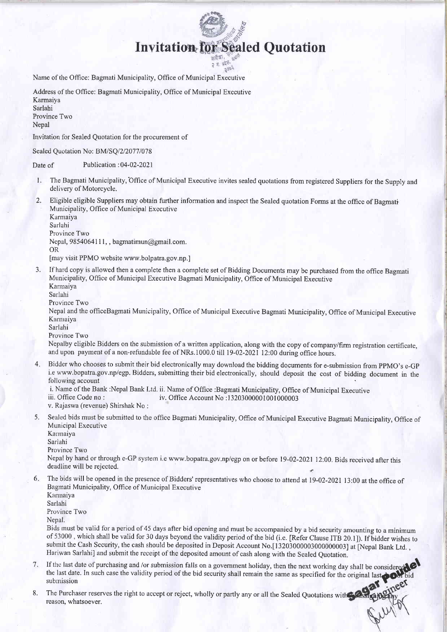## **Invitation for Sealed Quotation**

Name of the Office: Bagmati Municipality, Office of Municipal Executive

Address of the Office: Bagmati Municipality, Office of Municipal Executive Karmaiya Sarlahi Province Two Nepal

Invitation for Sealed Quotation for the procurement of

Sealed Quotation No: BM/SQ/2/2077/078

Date of Publication : 04-02-2021

- 1. The Bagmati Municipality,'Office of Municipal Executive invites sealed quotations from registered Suppliers for the Supply and delivery of Motorcycle.
- 2. Eligible eligible Suppliers may obtain further information and inspect the Sealed quotation Forms at the office of Bagmati Municipality, Ofhce of Municipal Executive

Karmaiya Sarlahi

Province Two

Nepal, 9854064111,, bagmatimun@gmail.com. OR

[may visit PPMO website www.bolpatra. gov.np.]

- If hard copy is allowed then a complete then a complete set of Bidding Documents may be purchased from the office Bagmati Municipality, Office of Municipal Executive Bagmati Municipality, Office of Municipal Executive Kannaiya
	- Sarlahi
	- Province Two

Nepal and the officeBagmati Municipality, Office of Municipal Executive Bagmati Municipality, Office of Municipal Executive Karmaiya

Sarlahi

Province Two

Nepalby eligible Bidders on the submission of a written application, along with the copy of company/hrm registration certificate, and upon payment of a non-refundable fee of NRs.1000.0 till 19-02-2021 12:00 during office hours.

Bidder who chooses to submit their bid electronically may download the bidding documents for e-submission from ppMO's e-Gp i.e www.bopatra.gov.np/egp. Bidders, submitting their bid electronically, should deposit the cost of bidding document in the following account  $\bf{1}$ 

i. Narne of the Bank :Nepal Bank Ltd. ii. Name of Office :Bagmati Municipality, Office of Municipal Executive

iv. Office Account No : 13203000001001000003

v. Rajaswa (revenue) Shirshak No :

5. Sealed bids must be submitted to the offrce Bagmati Municipality, Office of Municipal Executive Bagmati Municipality, Office of Municipal Executive

Karrnaiya

Sarlahi

Province Two

Nepal by hand or through e-GP system i.e www.bopatra.gov.np/egp on or before 19-02-2021 12:00. Bids received after this deadline will be rejected.

The bids will be opened in the presence of Bidders' representatives who choose to attend at 19-02-2021 13:00 at the office of Bagmati Municipality, Office of Municipal Executive 6

Kannaiya

Sarlahi

Province Two

Nepal.

Bids must be valid for a period of 45 days after bid opening and must be accompanied by a bid security amounting to a minimum of 53000 , which shall be valid for 30 days beyond the validity period of the bid (i.e. [Refer Clause ITB 20.l]). If bidder wishes to submit the Cash Security, the cash should be deposited in Deposit Account No.[1320300000000000000003] at [Nepal Bank Ltd., Hariwan Sarlahi] and submit the receipt of the deposited amount of cash along with the Sealed Quotation.

7. If the last date of purchasing and /or submission falls on a government holiday, then the next working day shall be considered the last date. In such case the validity period of the bid security shall remain the same as specified for the original lasted  $\bullet$  bid il submission submission

8. The Purchaser reserves the right to accept or reject, wholly or partly any or all the Sealed Quotations with reason, whatsoever.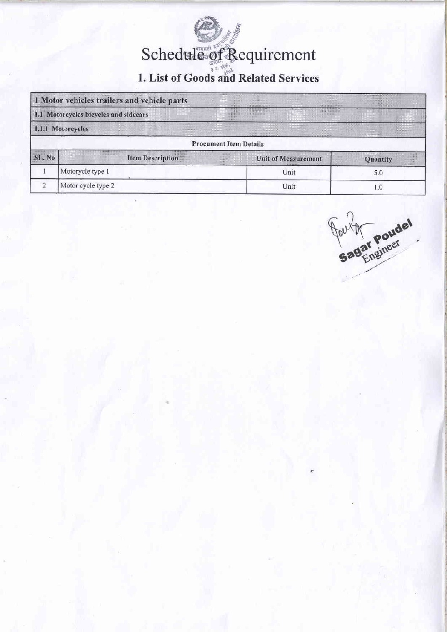## Schedule of Requirement

## 1. List of Goods and Related Services

|               | 1 Motor vehicles trailers and vehicle parts |                               |          |
|---------------|---------------------------------------------|-------------------------------|----------|
|               | 1.1 Motorcycles bicycles and sidecars       |                               |          |
|               | 1.1.1 Motorcycles                           |                               |          |
|               |                                             | <b>Procument Item Details</b> |          |
| <b>SL. No</b> | <b>Item Description</b>                     | <b>Unit of Measurement</b>    | Quantity |
|               | Motorycle type 1                            | Unit                          | 5.0      |
|               | Motor cycle type 2                          | Unit                          | 1.0      |

Buy Poudel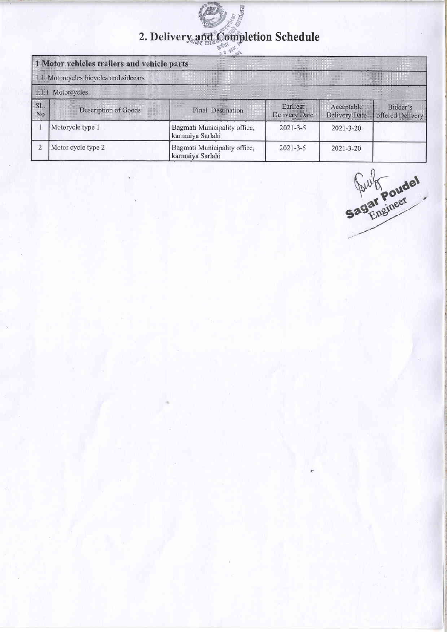## केयोलिय 2. Delivery and Completion Schedule

|           | 1 Motor vehicles trailers and vehicle parts |                                                  |                           |                             |                              |  |
|-----------|---------------------------------------------|--------------------------------------------------|---------------------------|-----------------------------|------------------------------|--|
|           | 1.1 Motorcycles bicycles and sidecars       |                                                  |                           |                             |                              |  |
|           | 1.1.1 Motorcycles                           |                                                  |                           |                             |                              |  |
| SL.<br>No | <b>Description of Goods</b>                 | Final Destination                                | Earliest<br>Delivery Date | Acceptable<br>Delivery Date | Bidder's<br>offered Delivery |  |
|           | Motorycle type 1                            | Bagmati Municipality office,<br>karmaiya Sarlahi | $2021 - 3 - 5$            | $2021 - 3 - 20$             |                              |  |
|           | Motor cycle type 2                          | Bagmati Municipality office,<br>karmaiya Sarlahi | $2021 - 3 - 5$            | $2021 - 3 - 20$             |                              |  |

Sagar Poudel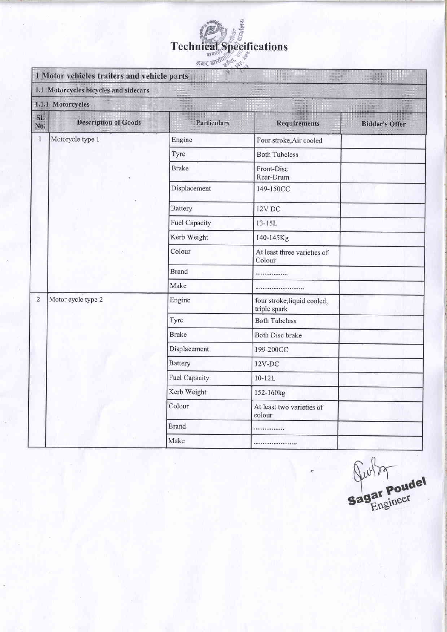|                | 1 Motor vehicles trailers and vehicle parts | Technical Specifications |                                             |                       |
|----------------|---------------------------------------------|--------------------------|---------------------------------------------|-----------------------|
|                | 1.1 Motorcycles bicycles and sidecars       |                          |                                             |                       |
|                | 1.1.1 Motorcycles                           |                          |                                             |                       |
| SI.<br>No.     | <b>Description of Goods</b>                 | Particulars              | <b>Requirements</b>                         | <b>Bidder's Offer</b> |
| $\mathbf{1}$   | Motorycle type 1                            | Engine                   | Four stroke, Air cooled                     |                       |
|                |                                             | Tyre                     | <b>Both Tubeless</b>                        |                       |
|                |                                             | <b>Brake</b>             | Front-Disc<br>Rear-Drum                     |                       |
|                |                                             | Displacement             | 149-150CC                                   |                       |
|                |                                             | Battery                  | 12V DC                                      |                       |
|                |                                             | Fuel Capacity            | $13 - 15L$                                  |                       |
|                |                                             | Kerb Weight              | 140-145Kg                                   |                       |
|                |                                             | Colour                   | At least three varieties of<br>Colour       |                       |
|                |                                             | <b>Brand</b>             |                                             |                       |
|                |                                             | Make                     |                                             |                       |
| $\overline{2}$ | Motor cycle type 2                          | Engine                   | four stroke, liquid cooled,<br>triple spark |                       |
|                |                                             | Tyre                     | <b>Both Tubeless</b>                        |                       |
|                |                                             | <b>Brake</b>             | <b>Both Disc brake</b>                      |                       |
|                |                                             | Displacement             | 199-200CC                                   |                       |
|                |                                             | Battery                  | $12V-DC$                                    |                       |
|                |                                             | Fuel Capacity            | $10-12L$                                    |                       |
|                |                                             | Kerb Weight              | 152-160kg                                   |                       |
|                |                                             | Colour                   | At least two varieties of<br>colour         |                       |
|                |                                             | <b>Brand</b>             |                                             |                       |
|                |                                             | Make                     | ************************                    |                       |

Sagar Poudel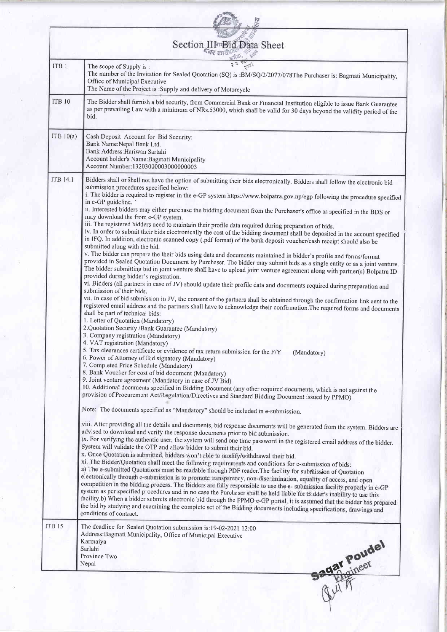|                  | Section III <sup>m</sup> Bid Data Sheet<br>नेमर का                                                                                                                                                                                                                                                                                                                                                                                                                                                                                                                                                                                                                                                                                                                                                                                                                                                                                                                                                                                                                                                                                                                                                                                                                                                                                                                                                                                                                                                                                                                                                                                                                                                                                                                                                                                                                                                                                                                                                                                                                                                                                                                                                                                                                                                                                                                                                                                                                                                                                                                                                                                                                                                                                                                                                                                                                                                                                                                                                                                                                                                                                                                                                                                                                                                                                                                                                                                                                                                                                                                                                                                                                                                                                                                                                                                                                                                                                                 |  |  |
|------------------|----------------------------------------------------------------------------------------------------------------------------------------------------------------------------------------------------------------------------------------------------------------------------------------------------------------------------------------------------------------------------------------------------------------------------------------------------------------------------------------------------------------------------------------------------------------------------------------------------------------------------------------------------------------------------------------------------------------------------------------------------------------------------------------------------------------------------------------------------------------------------------------------------------------------------------------------------------------------------------------------------------------------------------------------------------------------------------------------------------------------------------------------------------------------------------------------------------------------------------------------------------------------------------------------------------------------------------------------------------------------------------------------------------------------------------------------------------------------------------------------------------------------------------------------------------------------------------------------------------------------------------------------------------------------------------------------------------------------------------------------------------------------------------------------------------------------------------------------------------------------------------------------------------------------------------------------------------------------------------------------------------------------------------------------------------------------------------------------------------------------------------------------------------------------------------------------------------------------------------------------------------------------------------------------------------------------------------------------------------------------------------------------------------------------------------------------------------------------------------------------------------------------------------------------------------------------------------------------------------------------------------------------------------------------------------------------------------------------------------------------------------------------------------------------------------------------------------------------------------------------------------------------------------------------------------------------------------------------------------------------------------------------------------------------------------------------------------------------------------------------------------------------------------------------------------------------------------------------------------------------------------------------------------------------------------------------------------------------------------------------------------------------------------------------------------------------------------------------------------------------------------------------------------------------------------------------------------------------------------------------------------------------------------------------------------------------------------------------------------------------------------------------------------------------------------------------------------------------------------------------------------------------------------------------------------------------------|--|--|
|                  |                                                                                                                                                                                                                                                                                                                                                                                                                                                                                                                                                                                                                                                                                                                                                                                                                                                                                                                                                                                                                                                                                                                                                                                                                                                                                                                                                                                                                                                                                                                                                                                                                                                                                                                                                                                                                                                                                                                                                                                                                                                                                                                                                                                                                                                                                                                                                                                                                                                                                                                                                                                                                                                                                                                                                                                                                                                                                                                                                                                                                                                                                                                                                                                                                                                                                                                                                                                                                                                                                                                                                                                                                                                                                                                                                                                                                                                                                                                                                    |  |  |
| ITB <sub>1</sub> | The scope of Supply is:<br>The number of the Invitation for Sealed Quotation (SQ) is :BM/SQ/2/2077/078The Purchaser is: Bagmati Municipality,<br>Office of Municipal Executive<br>The Name of the Project is :Supply and delivery of Motorcycle                                                                                                                                                                                                                                                                                                                                                                                                                                                                                                                                                                                                                                                                                                                                                                                                                                                                                                                                                                                                                                                                                                                                                                                                                                                                                                                                                                                                                                                                                                                                                                                                                                                                                                                                                                                                                                                                                                                                                                                                                                                                                                                                                                                                                                                                                                                                                                                                                                                                                                                                                                                                                                                                                                                                                                                                                                                                                                                                                                                                                                                                                                                                                                                                                                                                                                                                                                                                                                                                                                                                                                                                                                                                                                    |  |  |
| <b>ITB 10</b>    | The Bidder shall furnish a bid security, from Commercial Bank or Financial Institution eligible to issue Bank Guarantee<br>as per prevailing Law with a minimum of NRs.53000, which shall be valid for 30 days beyond the validity period of the<br>bid.                                                                                                                                                                                                                                                                                                                                                                                                                                                                                                                                                                                                                                                                                                                                                                                                                                                                                                                                                                                                                                                                                                                                                                                                                                                                                                                                                                                                                                                                                                                                                                                                                                                                                                                                                                                                                                                                                                                                                                                                                                                                                                                                                                                                                                                                                                                                                                                                                                                                                                                                                                                                                                                                                                                                                                                                                                                                                                                                                                                                                                                                                                                                                                                                                                                                                                                                                                                                                                                                                                                                                                                                                                                                                           |  |  |
| ITB10(a)         | Cash Deposit Account for Bid Security:<br>Bank Name: Nepal Bank Ltd.<br>Bank Address: Hariwan Sarlahi<br>Account holder's Name:Bagmati Municipality<br>Account Number: 13203000003000000003                                                                                                                                                                                                                                                                                                                                                                                                                                                                                                                                                                                                                                                                                                                                                                                                                                                                                                                                                                                                                                                                                                                                                                                                                                                                                                                                                                                                                                                                                                                                                                                                                                                                                                                                                                                                                                                                                                                                                                                                                                                                                                                                                                                                                                                                                                                                                                                                                                                                                                                                                                                                                                                                                                                                                                                                                                                                                                                                                                                                                                                                                                                                                                                                                                                                                                                                                                                                                                                                                                                                                                                                                                                                                                                                                        |  |  |
| <b>ITB 14.1</b>  | Bidders shall or shall not have the option of submitting their bids electronically. Bidders shall follow the electronic bid<br>submission procedures specified below:<br>i. The bidder is required to register in the e-GP system https://www.bolpatra.gov.np/egp following the procedure specified<br>in e-GP guideline.<br>ii. Interested bidders may either purchase the bidding document from the Purchaser's office as specified in the BDS or<br>may download the from e-GP system.<br>iii. The registered bidders need to maintain their profile data required during preparation of bids.<br>iv. In order to submit their bids electronically the cost of the bidding document shall be deposited in the account specified<br>in IFQ. In addition, electronic scanned copy (.pdf format) of the bank deposit voucher/cash receipt should also be<br>submitted along with the bid.<br>v. The bidder can prepare the their bids using data and documents maintained in bidder's profile and forms/format<br>provided in Sealed Quotation Document by Purchaser. The bidder may submit bids as a single entity or as a joint venture.<br>The bidder submitting bid in joint venture shall have to upload joint venture agreement along with partner(s) Bolpatra ID<br>provided during bidder's registration.<br>vi. Bidders (all partners in case of JV) should update their profile data and documents required during preparation and<br>submission of their bids.<br>vii. In case of bid submission in JV, the consent of the partners shall be obtained through the confirmation link sent to the<br>registered email address and the partners shall have to acknowledge their confirmation. The required forms and documents<br>shall be part of technical bids:<br>1. Letter of Quotation (Mandatory)<br>2. Quotation Security / Bank Guarantee (Mandatory)<br>3. Company registration (Mandatory)<br>4. VAT registration (Mandatory)<br>5. Tax clearances certificate or evidence of tax return submission for the F/Y<br>(Mandatory)<br>6. Power of Attorney of Bid signatory (Mandatory)<br>7. Completed Price Schedule (Mandatory)<br>8. Bank Voucher for cost of bid document (Mandatory)<br>9. Joint venture agreement (Mandatory in case of JV Bid)<br>10. Additional documents specified in Bidding Document (any other required documents, which is not against the<br>provision of Procurement Act/Regulation/Directives and Standard Bidding Document issued by PPMO)<br>Note: The documents specified as "Mandatory" should be included in e-submission.<br>viii. After providing all the details and documents, bid response documents will be generated from the system. Bidders are<br>advised to download and verify the response documents prior to bid submission.<br>ix. For verifying the authentic user, the system will send one time password in the registered email address of the bidder.<br>System will validate the OTP and allow bidder to submit their bid.<br>x. Once Quotation is submitted, bidders won't able to modify/withdrawal their bid.<br>xi. The Bidder/Quotation shall meet the following requirements and conditions for e-submission of bids:<br>a) The e-submitted Quotations must be readable through PDF reader. The facility for submission of Quotation<br>electronically through e-submission is to promote transparency, non-discrimination, equality of access, and open<br>competition in the bidding process. The Bidders are fully responsible to use the e- submission facility properly in e-GP<br>system as per specified procedures and in no case the Purchaser shall be held liable for Bidder's inability to use this<br>facility.b) When a bidder submits electronic bid through the PPMO e-GP portal, it is assumed that the bidder has prepared<br>the bid by studying and examining the complete set of the Bidding documents including specifications, drawings and |  |  |
| <b>ITB 15</b>    | conditions of contract.<br>The deadline for Sealed Quotation submission is:19-02-2021 12:00<br>Address: Bagmati Municipality, Office of Municipal Executive<br>Karmaiya<br>Sarlahi                                                                                                                                                                                                                                                                                                                                                                                                                                                                                                                                                                                                                                                                                                                                                                                                                                                                                                                                                                                                                                                                                                                                                                                                                                                                                                                                                                                                                                                                                                                                                                                                                                                                                                                                                                                                                                                                                                                                                                                                                                                                                                                                                                                                                                                                                                                                                                                                                                                                                                                                                                                                                                                                                                                                                                                                                                                                                                                                                                                                                                                                                                                                                                                                                                                                                                                                                                                                                                                                                                                                                                                                                                                                                                                                                                 |  |  |
|                  | Sagar Poudel<br>Province Two<br>Nepal                                                                                                                                                                                                                                                                                                                                                                                                                                                                                                                                                                                                                                                                                                                                                                                                                                                                                                                                                                                                                                                                                                                                                                                                                                                                                                                                                                                                                                                                                                                                                                                                                                                                                                                                                                                                                                                                                                                                                                                                                                                                                                                                                                                                                                                                                                                                                                                                                                                                                                                                                                                                                                                                                                                                                                                                                                                                                                                                                                                                                                                                                                                                                                                                                                                                                                                                                                                                                                                                                                                                                                                                                                                                                                                                                                                                                                                                                                              |  |  |